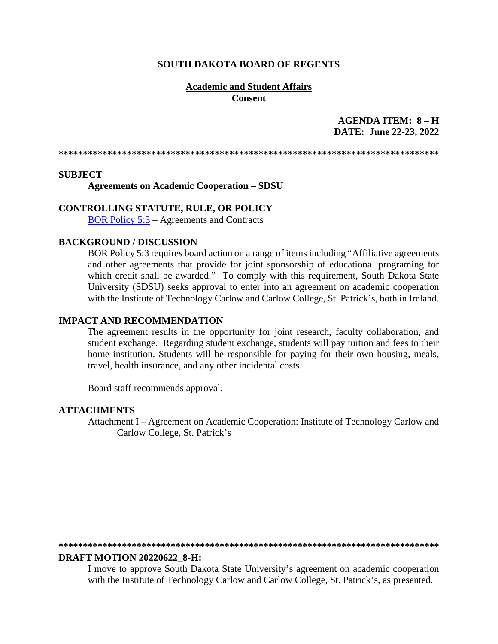#### **SOUTH DAKOTA BOARD OF REGENTS**

## **Academic and Student Affairs Consent**

# AGENDA ITEM:  $8 - H$ DATE: June 22-23, 2022

#### **SUBJECT**

**Agreements on Academic Cooperation - SDSU** 

#### **CONTROLLING STATUTE, RULE, OR POLICY**

BOR Policy  $5:3$  – Agreements and Contracts

## **BACKGROUND / DISCUSSION**

BOR Policy 5:3 requires board action on a range of items including "Affiliative agreements" and other agreements that provide for joint sponsorship of educational programing for which credit shall be awarded." To comply with this requirement, South Dakota State University (SDSU) seeks approval to enter into an agreement on academic cooperation with the Institute of Technology Carlow and Carlow College, St. Patrick's, both in Ireland.

#### **IMPACT AND RECOMMENDATION**

The agreement results in the opportunity for joint research, faculty collaboration, and student exchange. Regarding student exchange, students will pay tuition and fees to their home institution. Students will be responsible for paying for their own housing, meals, travel, health insurance, and any other incidental costs.

Board staff recommends approval.

#### **ATTACHMENTS**

Attachment I – Agreement on Academic Cooperation: Institute of Technology Carlow and Carlow College, St. Patrick's

#### **DRAFT MOTION 20220622 8-H:**

I move to approve South Dakota State University's agreement on academic cooperation with the Institute of Technology Carlow and Carlow College, St. Patrick's, as presented.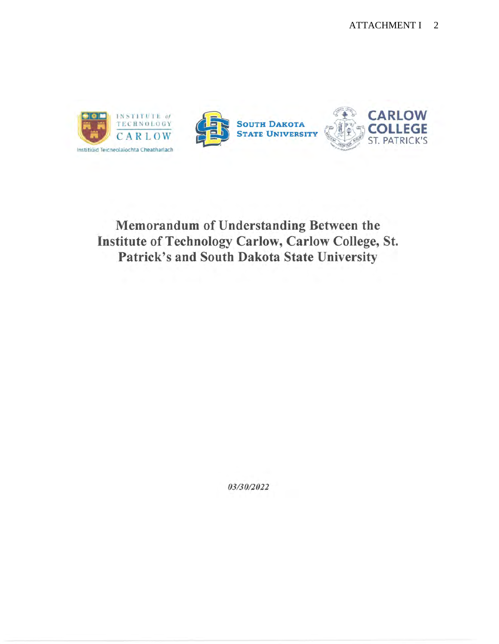

# Memorandum of Understanding Between the Institute of Technology Carlow, Carlow College, St. Patrick's and South Dakota State University

03/30/2022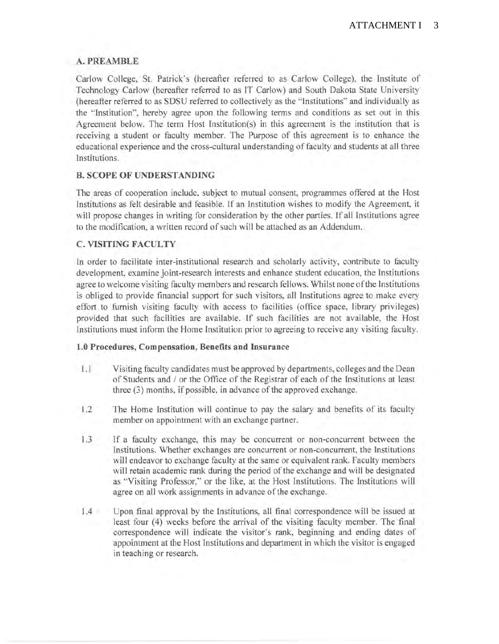# **A.PREAMBLE**

Carlow College, St. Patrick's (hereafter referred to as Carlow College), the Institute of Technology Carlow (hereafter referred to as IT Carlow) and South Dakota State University (hereafter referred to as SDSU referred to collectively as the "Institutions" and individually as the "Institution", hereby agree upon the following terms and conditions as set out in this Agreement below. The term Host Institution(s) in this agreement is the institution that is receiving a student or faculty member. The Purpose of this agreement is to enhance the educational experience and the cross-cultural understanding of faculty and students at all three Institutions.

# **B. SCOPE OF UNDERSTANDING**

The areas of cooperation include, subject to mutual consent, programmes offered at the Host Institutions as felt desirable and feasible. If an Institution wishes to modify the Agreement, it will propose changes in writing for consideration by the other parties. If all Institutions agree to the modification, a written record of such will be attached as an Addendum.

# **C. VISITING FACULTY**

In order to facilitate inter-institutional research and scholarly activity, contribute to faculty development, examine joint-research interests and enhance student education, the Institutions agree to welcome visiting faculty members and research fellows. Whilst none of the Institutions is obliged to provide financial support for such visitors, all Institutions agree to make every effort to furnish visiting faculty with access to facilities (office space, library privileges) provided that such facilities are available. If such facilities are not available, the Host Institutions must inform the Home Institution prior to agreeing to receive any visiting faculty.

## **1.0 Procedures, Compensation, Benefits and Insurance**

- 1.1 Visiting faculty candidates must be approved by departments, colleges and the Dean of Students and / or the Office of the Registrar of each of the Institutions at least three (3) months, if possible, in advance of the approved exchange.
- 1.2 The Home Institution will continue to pay the salary and benefits of its faculty member on appointment with an exchange partner.
- 1.3 If a faculty exchange, this may be concurrent or non-concurrent between the Institutions. Whether exchanges are concurrent or non-concurrent, the Institutions will endeavor to exchange faculty at the same or equivalent rank. Faculty members will retain academic rank during the period of the exchange and will be designated as "Visiting Professor," or the like, at the Host Institutions. The Institutions will agree on all work assignments in advance of the exchange.
- 1.4 Upon final approval by the Institutions, all final correspondence will be issued at least four (4) weeks before the arrival of the visiting faculty member. The final correspondence will indicate the visitor's rank, beginning and ending dates of appointment at the Host Institutions and department in which the visitor is engaged in teaching or research.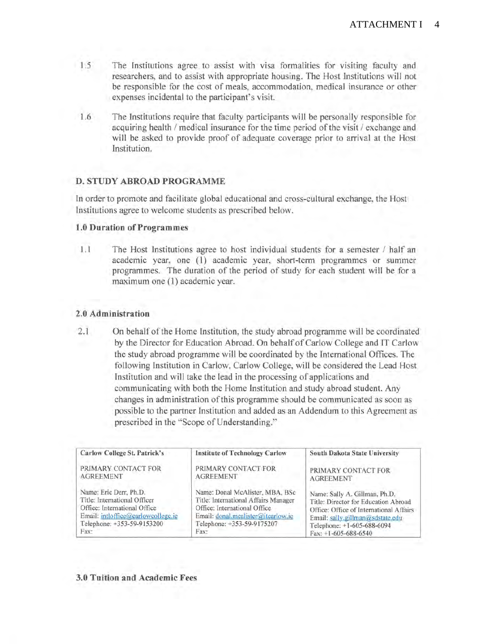- 1.5 The Institutions agree to assist with visa formalities for visiting faculty and researchers, and to assist with appropriate housing. The Host Institutions will not be responsible for the cost of meals, accommodation, medical insurance or other expenses incidental to the participant's visit.
- 1.6 The Institutions require that faculty participants will be personally responsible for acquiring health/ medical insurance for the time period of the visit/ exchange and will be asked to provide proof of adequate coverage prior to arrival at the Host Institution.

## **D. STUDY ABROAD PROGRAMME**

In order to promote and facilitate global educational and cross-cultural exchange, the Host Institutions agree to welcome students as prescribed below.

#### **1.0 Duration of Programmes**

1.1 The Host Institutions agree to host individual students for a semester / half an academic year, one (1) academic year, short-term programmes or summer programmes. The duration of the period of study for each student will be for a maximum one (1) academic year.

## **2.0 Administration**

2.1 On behalf of the Home Institution, the study abroad programme will be coordinated by the Director for Education Abroad. On behalf of Carlow College and IT Carlow the study abroad programme will be coordinated by the International Offices. The following Institution in Carlow, Carlow College, will be considered the Lead Host Institution and will take the lead in the processing of applications and communicating with both the Home Institution and study abroad student. Any changes in administration of this programme should be communicated as soon as possible to the partner Institution and added as an Addendum to this Agreement as prescribed in the "Scope of Understanding."

| Carlow College St. Patrick's       | Institute of Technology Carlow       | South Dakota State University           |
|------------------------------------|--------------------------------------|-----------------------------------------|
| PRIMARY CONTACT FOR                | PRIMARY CONTACT FOR                  | PRIMARY CONTACT FOR                     |
| <b>AGREEMENT</b>                   | <b>AGREEMENT</b>                     | <b>AGREEMENT</b>                        |
| Name: Eric Derr, Ph.D.             | Name: Donal McAlister, MBA, BSc      | Name: Sally A. Gillman, Ph.D.           |
| Title: International Officer       | Title: International Affairs Manager | Title: Director for Education Abroad    |
| Office: International Office       | Office: International Office         | Office: Office of International Affairs |
| Email: intloffice@carlowcollege.ie | Email: donal.mealister@itcarlow.ie   | Email: sally.gillman@sdstate.edu        |
| Telephone: +353-59-9153200         | Telephone: +353-59-9175207           | Telephone: +1-605-688-6094              |
| Fax:                               | Fax:                                 | Fax: $+1-605-688-6540$                  |

#### **3.0 Tuition and Academic Fees**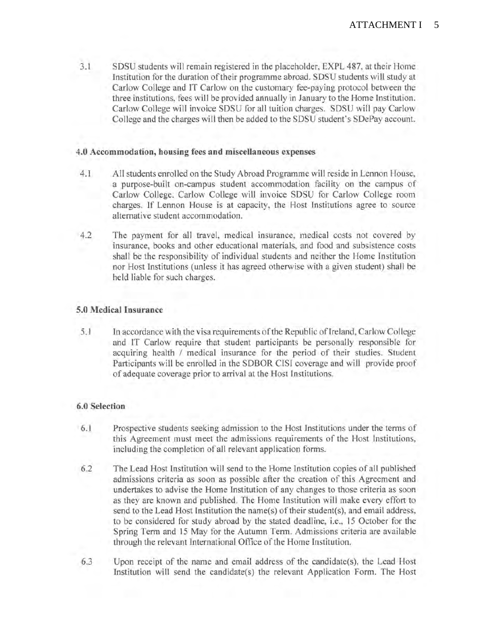3.1 SDSU students will remain registered in the placeholder, EXPL 487, at their Home Institution for the duration of their programme abroad. SDSU students will study at Carlow College and IT Carlow on the customary fee-paying protocol between the three institutions, fees will be provided annually in January to the Home Institution. Carlow College will invoice SDSU for all tuition charges. SDSU will pay Carlow College and the charges will then be added to the SDSU student's SDePay account.

## **4.0 Accommodation, housing fees and miscellaneous expenses**

- 4.1 All students enrolled on the Study Abroad Programme will reside in Lennon House, a purpose-built on-campus student accommodation facility on the campus of Carlow College. Carlow College will invoice SDSU for Carlow College room charges. If Lennon House is at capacity, the Host Institutions agree to source alternative student accommodation.
- 4.2 The payment for all travel, medical insurance, medical costs not covered by insurance, books and other educational materials, and food and subsistence costs shall be the responsibility of individual students and neither the Home Institution nor Host Institutions (unless it has agreed otherwise with a given student) shall be held liable for such charges.

## **5.0 Medical Insurance**

5.1 In accordance with the visa requirements of the Republic of Ireland, Carlow College and IT Carlow require that student participants be personally responsible for acquiring health / medical insurance for the period of their studies. Student Participants will be enrolled in the SDBOR CISI coverage and will provide proof of adequate coverage prior to arrival at the Host Institutions.

## **6.0 Selection**

- 6.1 Prospective students seeking admission to the Host Institutions under the terms of this Agreement must meet the admissions requirements of the Host Institutions, including the completion of all relevant application forms.
- 6.2 The Lead Host Institution will send to the Home Institution copies of all published admissions criteria as soon as possible after the creation of this Agreement and undertakes to advise the Home Institution of any changes to those criteria as soon as they are known and published. The Home Institution will make every effort to send to the Lead Host Institution the name(s) of their student(s), and email address, to be considered for study abroad by the stated deadline, i.e., 15 October for the Spring Term and 15 May for the Autumn Term. Admissions criteria are available through the relevant International Office of the Home Institution.
- 6.3 Upon receipt of the name and email address of the candidate(s), the Lead Host Institution will send the candidate(s) the relevant Application Form. The Host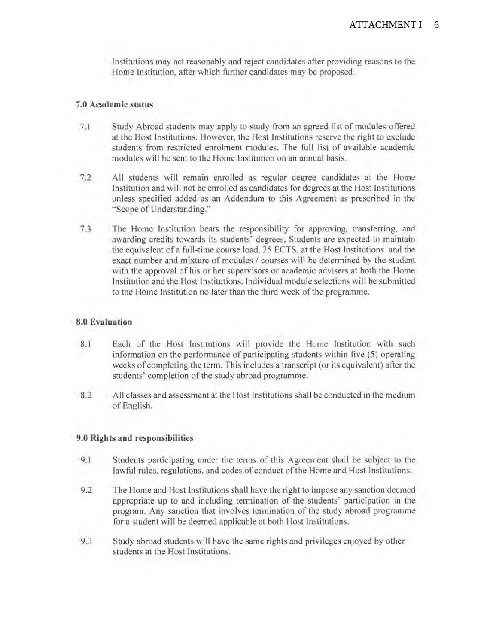Institutions may act reasonably and reject candidates after providing reasons to the Home Institution, after which further candidates may be proposed.

#### 7 **.0 Academic status**

- 7.1 Study Abroad students may apply to study from an agreed list of modules offered at the Host Institutions. However, the Host Institutions reserve the right to exclude students from restricted enrolment modules. The full list of available academic modules will be sent to the Home Institution on an annual basis.
- 7.2 All students will remain enrolled as regular degree candidates at the Home Institution and will not be enrolled as candidates for degrees at the Host Institutions unless specified added as an Addendum to this Agreement as prescribed in the "Scope of Understanding."
- 7.3 The Home Institution bears the responsibility for approving, transferring, and awarding credits towards its students' degrees. Students are expected to maintain the equivalent of a full-time course load, 25 ECTS, at the Host Institutions and the exact number and mixture of modules / courses will be determined by the student with the approval of his or her supervisors or academic advisers at both the Home Institution and the Host Institutions. Individual module selections will be submitted to the Home Institution no later than the third week of the programme.

#### **8.0 Evaluation**

- 8.1 Each of the Host Institutions will provide the Home Institution with such information on the performance of participating students within five (5) operating weeks of completing the term. This includes a transcript (or its equivalent) after the students' completion of the study abroad programme.
- 8.2 All classes and assessment at the Host Institutions shall be conducted in the medium of English.

#### **9.0 Rights and responsibilities**

- 9.1 Students participating under the terms of this Agreement shall be subject to the lawful rules, regulations, and codes of conduct of the Home and Host Institutions.
- 9.2 The Home and Host Institutions shall have the right to impose any sanction deemed appropriate up to and including termination of the students' participation in the program. Any sanction that involves termination of the study abroad programme for a student will be deemed applicable at both Host Institutions.
- 9.3 Study abroad students will have the same rights and privileges enjoyed by other students at the Host Institutions.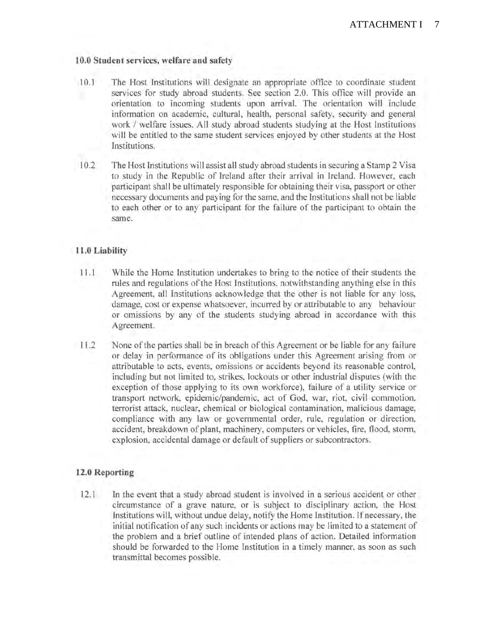## **10.0 Student services, welfare and safety**

- 10.1 The Host Institutions will designate an appropriate office to coordinate student services for study abroad students. See section 2.0. This office will provide an orientation to incoming students upon arrival. The orientation will include information on academic, cultural, health, personal safety, security and general work / welfare issues. All study abroad students studying at the Host Institutions will be entitled to the same student services enjoyed by other students at the Host Institutions.
- 10.2 The Host Institutions will assist all study abroad students in securing a Stamp 2 Visa to study in the Republic of Ireland after their arrival in Ireland. However, each participant shall be ultimately responsible for obtaining their visa, passport or other necessary documents and paying for the same, and the Institutions shall not be liable to each other or to any participant for the failure of the participant to obtain the same.

## **11.0 Liability**

- 11.1 While the Home Institution undertakes to bring to the notice of their students the rules and regulations of the Host Institutions, notwithstanding anything else in this Agreement, all Institutions acknowledge that the other is not liable for any loss, damage, cost or expense whatsoever, incurred by or attributable to any behaviour or omissions by any of the students studying abroad in accordance with this Agreement.
- 11.2 None of the parties shall be in breach of this Agreement or be liable for any failure or delay in performance of its obligations under this Agreement arising from or attributable to acts, events, omissions or accidents beyond its reasonable control, including but not limited to, strikes, lockouts or other industrial disputes (with the exception of those applying to its own workforce), failure of a utility service or transport network, epidemic/pandemic, act of God, war, riot, civil commotion, terrorist attack, nuclear, chemical or biological contamination, malicious damage, compliance with any law or governmental order, rule, regulation or direction, accident, breakdown of plant, machinery, computers or vehicles, fire, flood, storm, explosion, accidental damage or default of suppliers or subcontractors.

#### **12.0 Reporting**

12.1 In the event that a study abroad student is involved in a serious accident or other circumstance of a grave nature, or is subject to disciplinary action, the Host Institutions will, without undue delay, notify the Home Institution. If necessary, the initial notification of any such incidents or actions may be limited to a statement of the problem and a brief outline of intended plans of action. Detailed information should be forwarded to the Home Institution in a timely manner, as soon as such transmittal becomes possible.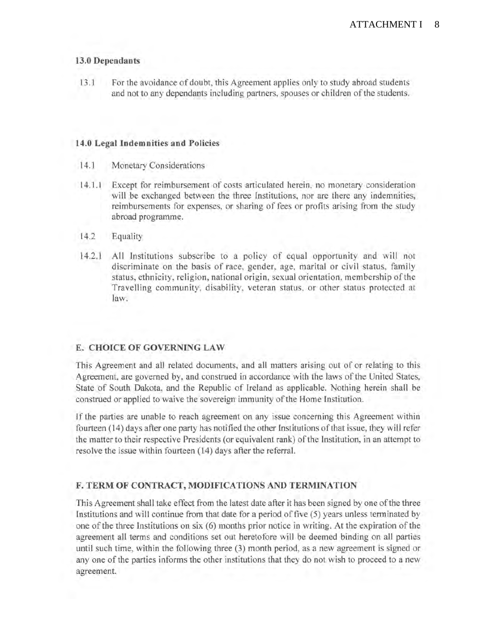## **13.0 Dependants**

13.1 For the avoidance of doubt, this Agreement applies only to study abroad students and not to any dependants including partners, spouses or children of the students.

## **14.0 Legal Indemnities and Policies**

- 14.1 Monetary Considerations
- 14.1.1 Except for reimbursement of costs articulated herein, no monetary consideration will be exchanged between the three Institutions, nor are there any indemnities, reimbursements for expenses, or sharing of fees or profits arising from the study abroad programme.
- 14.2 Equality
- 14.2.1 All Institutions subscribe to a policy of equal opportunity and will not discriminate on the basis of race, gender, age, marital or civil status, family status, ethnicity, religion, national origin, sexual orientation, membership of the Travelling community, disability, veteran status, or other status protected at law.

# **E. CHOICE OF GOVERNING LAW**

This Agreement and all related documents, and all matters arising out of or relating to this Agreement, are governed by, and construed in accordance with the laws of the United States, State of South Dakota, and the Republic of Ireland as applicable. Nothing herein shall be construed or applied to waive the sovereign immunity of the Home Institution.

If the parties are unable to reach agreement on any issue concerning this Agreement within fourteen (14) days after one party has notified the other Institutions of that issue, they will refer the matter to their respective Presidents (or equivalent rank) of the Institution, in an attempt to resolve the issue within fourteen (14) days after the referral.

## **F. TERM OF CONTRACT, MODIFICATIONS AND TERMINATION**

This Agreement shall take effect from the latest date after it has been signed by one of the three Institutions and will continue from that date for a period of five (5) years unless terminated by one of the three Institutions on six (6) months prior notice in writing. At the expiration of the agreement all terms and conditions set out heretofore will be deemed binding on all parties until such time, within the following three (3) month period, as a new agreement is signed or any one of the parties informs the other institutions that they do not wish to proceed to a new agreement.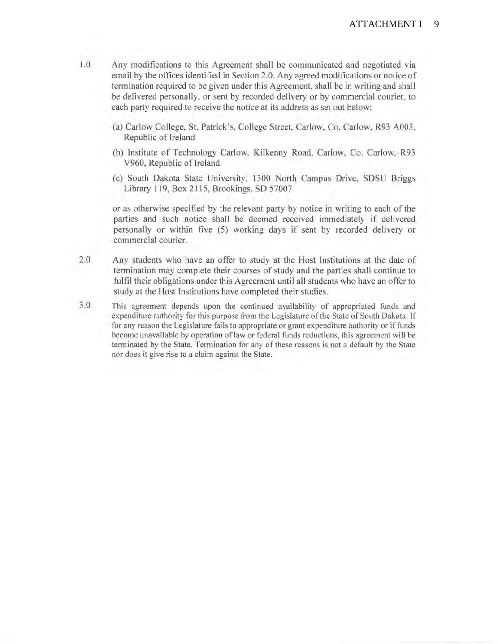- 1.0 Any modifications to this Agreement shall be communicated and negotiated via email by the offices identified in Section 2.0. Any agreed modifications or notice of termination required to be given under this Agreement, shall be in writing and shall be delivered personally, or sent by recorded delivery or by commercial courier, to each party required to receive the notice at its address as set out below:
	- (a) Carlow College, St. Patrick's, College Street, Carlow, Co. Carlow, R93 A003, Republic of Ireland
	- (b) Institute of Technology Carlow, Kilkenny Road, Carlow, Co. Carlow, R93 V960, Republic of Ireland
	- (c) South Dakota State University, 1300 North Campus Drive, SDSU Briggs Library 119, Box 2115, Brookings, SD 57007

or as otherwise specified by the relevant party by notice in writing to each of the parties and such notice shall be deemed received immediately if delivered personally or within five (5) working days if sent by recorded delivery or commercial courier.

- 2.0 Any students who have an offer to study at the Host Institutions at the date of termination may complete their courses of study and the parties shall continue to fulfil their obligations under this Agreement until all students who have an offer to study at the Host Institutions have completed their studies.
- 3.0 This agreement depends upon the continued availability of appropriated funds and expenditure authority for this purpose from the Legislature of the State of South Dakota. If for any reason the Legislature fails to appropriate or grant expenditure authority or if funds become unavailable by operation of law or federal funds reductions, this agreement will be terminated by the State. Termination for any of these reasons is not a default by the State nor does it give rise to a claim against the State.